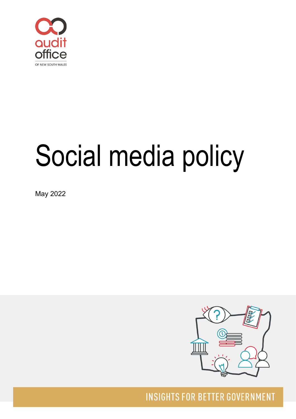

# Social media policy

May 2022



**INSIGHTS FOR BETTER GOVERNMENT**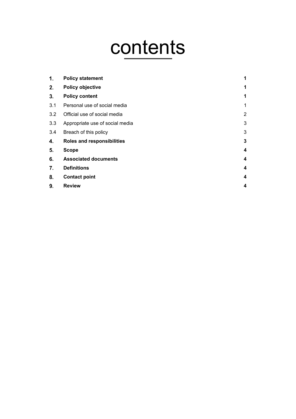# contents

| 1.  | <b>Policy statement</b>         | 1 |
|-----|---------------------------------|---|
| 2.  | <b>Policy objective</b>         | 1 |
| 3.  | <b>Policy content</b>           | 1 |
| 3.1 | Personal use of social media    | 1 |
| 3.2 | Official use of social media    | 2 |
| 3.3 | Appropriate use of social media | 3 |
| 3.4 | Breach of this policy           | 3 |
| 4.  | Roles and responsibilities      | 3 |
| 5.  | Scope                           | 4 |
| 6.  | <b>Associated documents</b>     | 4 |
| 7.  | <b>Definitions</b>              | 4 |
| 8.  | <b>Contact point</b>            | 4 |
| 9.  | <b>Review</b>                   | 4 |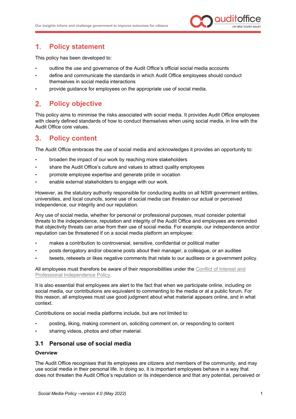

#### <span id="page-2-0"></span> $1<sub>r</sub>$ **Policy statement**

This policy has been developed to:

- outline the use and governance of the Audit Office's official social media accounts
- define and communicate the standards in which Audit Office employees should conduct themselves in social media interactions
- provide guidance for employees on the appropriate use of social media.

#### <span id="page-2-1"></span> $2<sub>1</sub>$ **Policy objective**

This policy aims to minimise the risks associated with social media. It provides Audit Office employees with clearly defined standards of how to conduct themselves when using social media, in line with the Audit Office core values.

#### <span id="page-2-2"></span> $3<sub>1</sub>$ **Policy content**

The Audit Office embraces the use of social media and acknowledges it provides an opportunity to:

- broaden the impact of our work by reaching more stakeholders
- share the Audit Office's culture and values to attract quality employees
- promote employee expertise and generate pride in vocation
- enable external stakeholders to engage with our work.

However, as the statutory authority responsible for conducting audits on all NSW government entities, universities, and local councils, some use of social media can threaten our actual or perceived independence, our integrity and our reputation.

Any use of social media, whether for personal or professional purposes, must consider potential threats to the independence, reputation and integrity of the Audit Office and employees are reminded that objectivity threats can arise from their use of social media. For example, our independence and/or reputation can be threatened if on a social media platform an employee:

- makes a contribution to controversial, sensitive, confidential or political matter
- posts derogatory and/or obscene posts about their manager, a colleague, or an auditee
- tweets, retweets or likes negative comments that relate to our auditees or a government policy.

All employees must therefore be aware of their responsibilities under the [Conflict of Interest and](https://www.audit.nsw.gov.au/sites/default/files/documents/Conflict%20of%20Interest%20and%20Professional%20Independence%20Policy%20-%20for%20publishing.pdf)  [Professional Independence Policy.](https://www.audit.nsw.gov.au/sites/default/files/documents/Conflict%20of%20Interest%20and%20Professional%20Independence%20Policy%20-%20for%20publishing.pdf)

It is also essential that employees are alert to the fact that when we participate online, including on social media, our contributions are equivalent to commenting to the media or at a public forum. For this reason, all employees must use good judgment about what material appears online, and in what context.

Contributions on social media platforms include, but are not limited to:

- posting, liking, making comment on, soliciting comment on, or responding to content
- sharing videos, photos and other material.

# <span id="page-2-3"></span>**3.1 Personal use of social media**

# **Overview**

The Audit Office recognises that its employees are citizens and members of the community, and may use social media in their personal life. In doing so, it is important employees behave in a way that does not threaten the Audit Office's reputation or its independence and that any potential, perceived or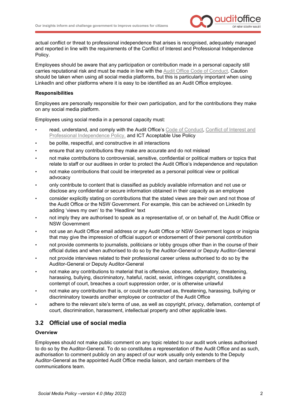

actual conflict or threat to professional independence that arises is recognised, adequately managed and reported in line with the requirements of the Conflict of Interest and Professional Independence Policy.

Employees should be aware that any participation or contribution made in a personal capacity still carries reputational risk and must be made in line with the [Audit Office Code of Conduct.](https://www.audit.nsw.gov.au/sites/default/files/documents/Code%20of%20Conduct_1.pdf) Caution should be taken when using all social media platforms, but this is particularly important when using LinkedIn and other platforms where it is easy to be identified as an Audit Office employee.

# **Responsibilities**

Employees are personally responsible for their own participation, and for the contributions they make on any social media platform.

Employees using social media in a personal capacity must:

- read, understand, and comply with the Audit Office's [Code of Conduct,](https://www.audit.nsw.gov.au/sites/default/files/documents/Code%20of%20Conduct_1.pdf) Conflict of Interest and [Professional Independence Policy,](https://www.audit.nsw.gov.au/sites/default/files/documents/Conflict%20of%20Interest%20and%20Professional%20Independence%20Policy%20-%20for%20publishing.pdf) and ICT Acceptable Use Policy
- be polite, respectful, and constructive in all interactions
- ensure that any contributions they make are accurate and do not mislead
- not make contributions to controversial, sensitive, confidential or political matters or topics that relate to staff or our auditees in order to protect the Audit Office's independence and reputation
- not make contributions that could be interpreted as a personal political view or political advocacy
- only contribute to content that is classified as publicly available information and not use or disclose any confidential or secure information obtained in their capacity as an employee
- consider explicitly stating on contributions that the stated views are their own and not those of the Audit Office or the NSW Government. For example, this can be achieved on LinkedIn by adding 'views my own' to the 'Headline' text
- not imply they are authorised to speak as a representative of, or on behalf of, the Audit Office or NSW Government
- not use an Audit Office email address or any Audit Office or NSW Government logos or insignia that may give the impression of official support or endorsement of their personal contribution
- not provide comments to journalists, politicians or lobby groups other than in the course of their official duties and when authorised to do so by the Auditor-General or Deputy Auditor-General
- not provide interviews related to their professional career unless authorised to do so by the Auditor-General or Deputy Auditor-General
- not make any contributions to material that is offensive, obscene, defamatory, threatening, harassing, bullying, discriminatory, hateful, racist, sexist, infringes copyright, constitutes a contempt of court, breaches a court suppression order, or is otherwise unlawful
- not make any contribution that is, or could be construed as, threatening, harassing, bullying or discriminatory towards another employee or contractor of the Audit Office
- adhere to the relevant site's terms of use, as well as copyright, privacy, defamation, contempt of court, discrimination, harassment, intellectual property and other applicable laws.

# <span id="page-3-0"></span>**3.2 Official use of social media**

## **Overview**

Employees should not make public comment on any topic related to our audit work unless authorised to do so by the Auditor-General. To do so constitutes a representation of the Audit Office and as such, authorisation to comment publicly on any aspect of our work usually only extends to the Deputy Auditor-General as the appointed Audit Office media liaison, and certain members of the communications team.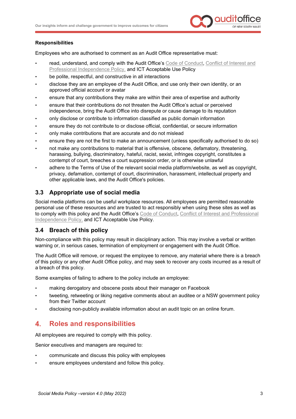

# **Responsibilities**

Employees who are authorised to comment as an Audit Office representative must:

- read, understand, and comply with the Audit Office's [Code of Conduct,](https://www.audit.nsw.gov.au/sites/default/files/documents/Code%20of%20Conduct_1.pdf) Conflict of Interest and [Professional Independence Policy,](https://www.audit.nsw.gov.au/sites/default/files/documents/Conflict%20of%20Interest%20and%20Professional%20Independence%20Policy%20-%20for%20publishing.pdf) and ICT Acceptable Use Policy
- be polite, respectful, and constructive in all interactions
- disclose they are an employee of the Audit Office, and use only their own identity, or an approved official account or avatar
- ensure that any contributions they make are within their area of expertise and authority
- ensure that their contributions do not threaten the Audit Office's actual or perceived independence, bring the Audit Office into disrepute or cause damage to its reputation
- only disclose or contribute to information classified as public domain information
- ensure they do not contribute to or disclose official, confidential, or secure information
- only make contributions that are accurate and do not mislead
- ensure they are not the first to make an announcement (unless specifically authorised to do so)
- not make any contributions to material that is offensive, obscene, defamatory, threatening, harassing, bullying, discriminatory, hateful, racist, sexist, infringes copyright, constitutes a contempt of court, breaches a court suppression order, or is otherwise unlawful
- adhere to the Terms of Use of the relevant social media platform/website, as well as copyright, privacy, defamation, contempt of court, discrimination, harassment, intellectual property and other applicable laws, and the Audit Office's policies.

# <span id="page-4-0"></span>**3.3 Appropriate use of social media**

Social media platforms can be useful workplace resources. All employees are permitted reasonable personal use of these resources and are trusted to act responsibly when using these sites as well as to comply with this policy and the Audit Office's [Code of Conduct,](https://www.audit.nsw.gov.au/sites/default/files/documents/Code%20of%20Conduct_1.pdf) [Conflict of Interest and Professional](https://www.audit.nsw.gov.au/sites/default/files/documents/Conflict%20of%20Interest%20and%20Professional%20Independence%20Policy%20-%20for%20publishing.pdf)  [Independence Policy,](https://www.audit.nsw.gov.au/sites/default/files/documents/Conflict%20of%20Interest%20and%20Professional%20Independence%20Policy%20-%20for%20publishing.pdf) and ICT Acceptable Use Policy.

# <span id="page-4-1"></span>**3.4 Breach of this policy**

Non-compliance with this policy may result in disciplinary action. This may involve a verbal or written warning or, in serious cases, termination of employment or engagement with the Audit Office.

The Audit Office will remove, or request the employee to remove, any material where there is a breach of this policy or any other Audit Office policy, and may seek to recover any costs incurred as a result of a breach of this policy.

Some examples of failing to adhere to the policy include an employee:

- making derogatory and obscene posts about their manager on Facebook
- tweeting, retweeting or liking negative comments about an auditee or a NSW government policy from their Twitter account
- disclosing non-publicly available information about an audit topic on an online forum.

#### <span id="page-4-2"></span> $\mathbf{4}$ . **Roles and responsibilities**

All employees are required to comply with this policy.

Senior executives and managers are required to:

- communicate and discuss this policy with employees
- ensure employees understand and follow this policy.